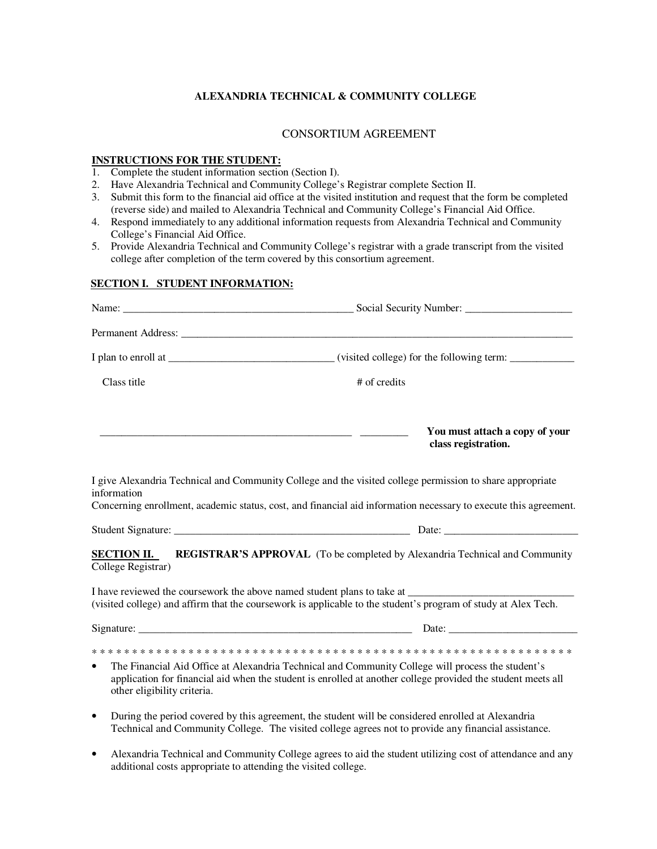## **ALEXANDRIA TECHNICAL & COMMUNITY COLLEGE**

## CONSORTIUM AGREEMENT

## **INSTRUCTIONS FOR THE STUDENT:**

- 1. Complete the student information section (Section I).
- 2. Have Alexandria Technical and Community College's Registrar complete Section II.
- 3. Submit this form to the financial aid office at the visited institution and request that the form be completed (reverse side) and mailed to Alexandria Technical and Community College's Financial Aid Office.
- 4. Respond immediately to any additional information requests from Alexandria Technical and Community College's Financial Aid Office.
- 5. Provide Alexandria Technical and Community College's registrar with a grade transcript from the visited college after completion of the term covered by this consortium agreement.

### **SECTION I. STUDENT INFORMATION:**

| Class title                              | # of credits                                                                                                                                                                                                                  |  |  |
|------------------------------------------|-------------------------------------------------------------------------------------------------------------------------------------------------------------------------------------------------------------------------------|--|--|
|                                          | You must attach a copy of your<br>class registration.                                                                                                                                                                         |  |  |
| information                              | I give Alexandria Technical and Community College and the visited college permission to share appropriate<br>Concerning enrollment, academic status, cost, and financial aid information necessary to execute this agreement. |  |  |
|                                          |                                                                                                                                                                                                                               |  |  |
| <b>SECTION II.</b><br>College Registrar) | <b>REGISTRAR'S APPROVAL</b> (To be completed by Alexandria Technical and Community                                                                                                                                            |  |  |
|                                          | I have reviewed the coursework the above named student plans to take at<br>(visited college) and affirm that the coursework is applicable to the student's program of study at Alex Tech.                                     |  |  |
|                                          |                                                                                                                                                                                                                               |  |  |
| $\bullet$<br>other eligibility criteria. | The Financial Aid Office at Alexandria Technical and Community College will process the student's<br>application for financial aid when the student is enrolled at another college provided the student meets all             |  |  |
| $\bullet$                                | During the period covered by this agreement, the student will be considered enrolled at Alexandria<br>Technical and Community College. The visited college agrees not to provide any financial assistance.                    |  |  |

• Alexandria Technical and Community College agrees to aid the student utilizing cost of attendance and any additional costs appropriate to attending the visited college.